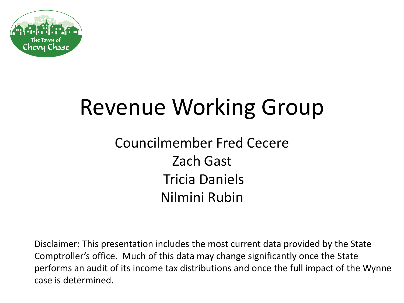

# Revenue Working Group

#### Councilmember Fred Cecere Zach Gast Tricia Daniels Nilmini Rubin

Disclaimer: This presentation includes the most current data provided by the State Comptroller's office. Much of this data may change significantly once the State performs an audit of its income tax distributions and once the full impact of the Wynne case is determined.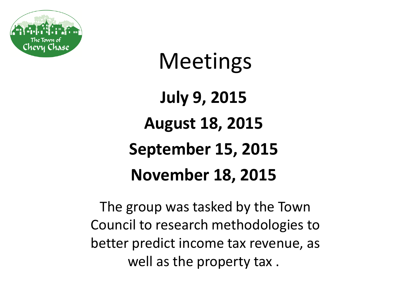

## **Meetings**

**July 9, 2015 August 18, 2015 September 15, 2015 November 18, 2015**

The group was tasked by the Town Council to research methodologies to better predict income tax revenue, as well as the property tax .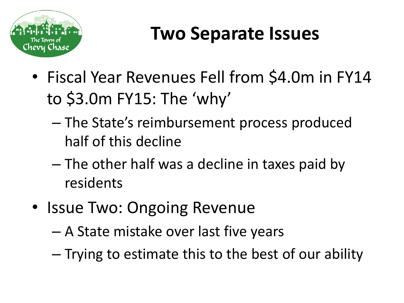

## **Two Separate Issues**

- Fiscal Year Revenues Fell from \$4.0m in FY14 to \$3.0m FY15: The 'why'
	- The State's reimbursement process produced half of this decline
	- The other half was a decline in taxes paid by residents
- Issue Two: Ongoing Revenue
	- A State mistake over last five years
	- Trying to estimate this to the best of our ability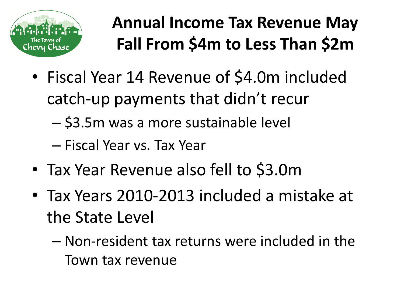

#### **Annual Income Tax Revenue May Fall From \$4m to Less Than \$2m**

- Fiscal Year 14 Revenue of \$4.0m included catch-up payments that didn't recur
	- \$3.5m was a more sustainable level
	- Fiscal Year vs. Tax Year
- Tax Year Revenue also fell to \$3.0m
- Tax Years 2010-2013 included a mistake at the State Level
	- Non-resident tax returns were included in the Town tax revenue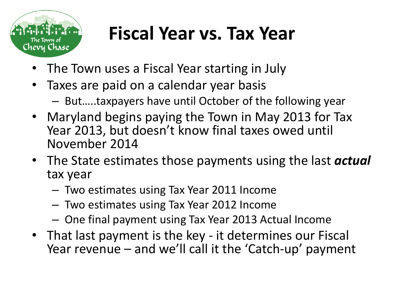

### **Fiscal Year vs. Tax Year**

- The Town uses a Fiscal Year starting in July
- Taxes are paid on a calendar year basis
	- But…..taxpayers have until October of the following year
- Maryland begins paying the Town in May 2013 for Tax Year 2013, but doesn't know final taxes owed until November 2014
- The State estimates those payments using the last *actual* tax year
	- Two estimates using Tax Year 2011 Income
	- Two estimates using Tax Year 2012 Income
	- One final payment using Tax Year 2013 Actual Income
- That last payment is the key it determines our Fiscal Year revenue – and we'll call it the 'Catch-up' payment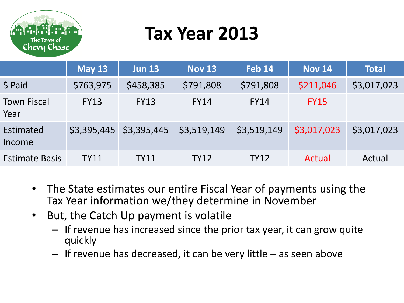

## **Tax Year 2013**

|                            | <b>May 13</b> | <b>Jun 13</b>             | <b>Nov 13</b> | <b>Feb 14</b> | <b>Nov 14</b> | <b>Total</b> |
|----------------------------|---------------|---------------------------|---------------|---------------|---------------|--------------|
| $$$ Paid                   | \$763,975     | \$458,385                 | \$791,808     | \$791,808     | \$211,046     | \$3,017,023  |
| <b>Town Fiscal</b><br>Year | <b>FY13</b>   | <b>FY13</b>               | <b>FY14</b>   | <b>FY14</b>   | <b>FY15</b>   |              |
| Estimated<br>Income        |               | $$3,395,445$ $$3,395,445$ | \$3,519,149   | \$3,519,149   | \$3,017,023   | \$3,017,023  |
| <b>Estimate Basis</b>      | <b>TY11</b>   | <b>TY11</b>               | <b>TY12</b>   | <b>TY12</b>   | Actual        | Actual       |

- The State estimates our entire Fiscal Year of payments using the Tax Year information we/they determine in November
- But, the Catch Up payment is volatile
	- If revenue has increased since the prior tax year, it can grow quite quickly
	- If revenue has decreased, it can be very little as seen above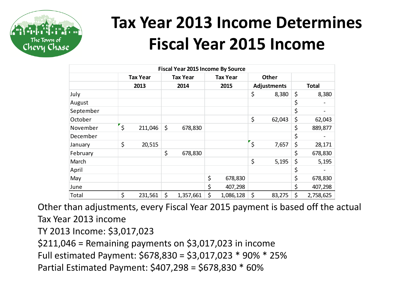

#### **Tax Year 2013 Income Determines Fiscal Year 2015 Income**

|                                                             | <b>Fiscal Year 2015 Income By Source</b>                                                        |                 |         |                 |    |                 |         |                    |                 |
|-------------------------------------------------------------|-------------------------------------------------------------------------------------------------|-----------------|---------|-----------------|----|-----------------|---------|--------------------|-----------------|
|                                                             |                                                                                                 | <b>Tax Year</b> |         | <b>Tax Year</b> |    | <b>Tax Year</b> |         | Other              |                 |
|                                                             |                                                                                                 | 2013            |         | 2014            |    | 2015            |         | <b>Adjustments</b> | <b>Total</b>    |
| July                                                        |                                                                                                 |                 |         |                 |    |                 | \$      | 8,380              | \$<br>8,380     |
| August                                                      |                                                                                                 |                 |         |                 |    |                 |         |                    | \$              |
| September                                                   |                                                                                                 |                 |         |                 |    |                 |         |                    | \$              |
| October                                                     |                                                                                                 |                 |         |                 |    |                 | \$      | 62,043             | \$<br>62,043    |
| November                                                    | $\zeta$                                                                                         | 211,046         | \$      | 678,830         |    |                 |         |                    | \$<br>889,877   |
| December                                                    |                                                                                                 |                 |         |                 |    |                 |         |                    | \$              |
| January                                                     | \$                                                                                              | 20,515          |         |                 |    |                 | `\$     | 7,657              | \$<br>28,171    |
| February                                                    |                                                                                                 |                 | \$      | 678,830         |    |                 |         |                    | \$<br>678,830   |
| March                                                       |                                                                                                 |                 |         |                 |    |                 | \$      | 5,195              | \$<br>5,195     |
| April                                                       |                                                                                                 |                 |         |                 |    |                 |         |                    | \$              |
| May                                                         |                                                                                                 |                 |         |                 | \$ | 678,830         |         |                    | \$<br>678,830   |
| June                                                        |                                                                                                 |                 |         |                 | \$ | 407,298         |         |                    | \$<br>407,298   |
| Total                                                       | $\zeta$                                                                                         | 231,561         | $\zeta$ | 1,357,661       | \$ | 1,086,128       | $\zeta$ | 83,275             | \$<br>2,758,625 |
|                                                             | Other than adjustments, every Fiscal Year 2015 payment is based off the<br>Tax Year 2013 income |                 |         |                 |    |                 |         |                    |                 |
|                                                             |                                                                                                 |                 |         |                 |    |                 |         |                    |                 |
| TY 2013 Income: \$3,017,023                                 |                                                                                                 |                 |         |                 |    |                 |         |                    |                 |
| $$211,046$ = Remaining payments on $$3,017,023$ in income   |                                                                                                 |                 |         |                 |    |                 |         |                    |                 |
| Full estimated Payment: \$678,830 = \$3,017,023 * 90% * 25% |                                                                                                 |                 |         |                 |    |                 |         |                    |                 |
| Partial Estimated Payment: \$407,298 = \$678,830 * 60%      |                                                                                                 |                 |         |                 |    |                 |         |                    |                 |

Other than adjustments, every Fiscal Year 2015 payment is based off the actual Tax Year 2013 income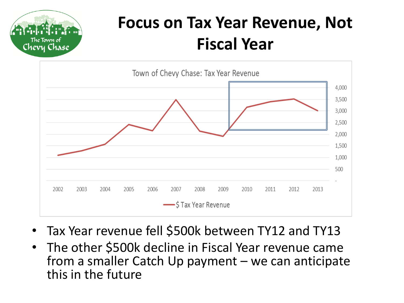

#### **Focus on Tax Year Revenue, Not Fiscal Year**



- Tax Year revenue fell \$500k between TY12 and TY13
- The other \$500k decline in Fiscal Year revenue came from a smaller Catch Up payment – we can anticipate this in the future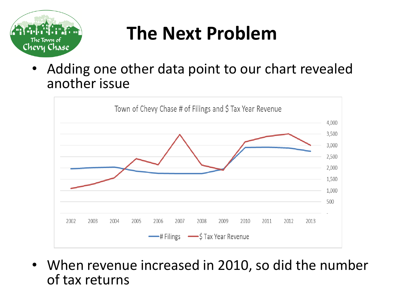

## **The Next Problem**

Adding one other data point to our chart revealed another issue



• When revenue increased in 2010, so did the number of tax returns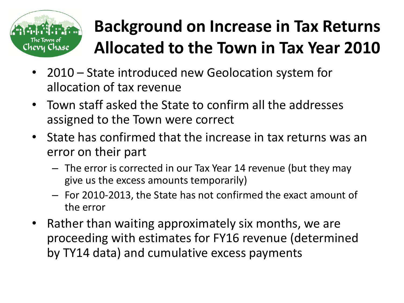

### **Background on Increase in Tax Returns Allocated to the Town in Tax Year 2010**

- 2010 State introduced new Geolocation system for allocation of tax revenue
- Town staff asked the State to confirm all the addresses assigned to the Town were correct
- State has confirmed that the increase in tax returns was an error on their part
	- The error is corrected in our Tax Year 14 revenue (but they may give us the excess amounts temporarily)
	- For 2010-2013, the State has not confirmed the exact amount of the error
- Rather than waiting approximately six months, we are proceeding with estimates for FY16 revenue (determined by TY14 data) and cumulative excess payments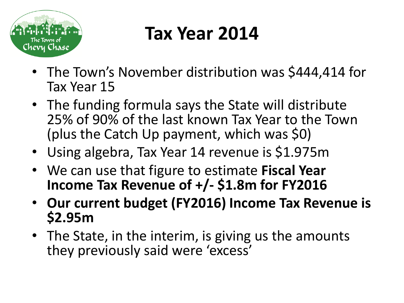

## **Tax Year 2014**

- The Town's November distribution was \$444,414 for Tax Year 15
- The funding formula says the State will distribute 25% of 90% of the last known Tax Year to the Town (plus the Catch Up payment, which was \$0)
- Using algebra, Tax Year 14 revenue is \$1.975m
- We can use that figure to estimate **Fiscal Year Income Tax Revenue of +/- \$1.8m for FY2016**
- **Our current budget (FY2016) Income Tax Revenue is \$2.95m**
- The State, in the interim, is giving us the amounts they previously said were 'excess'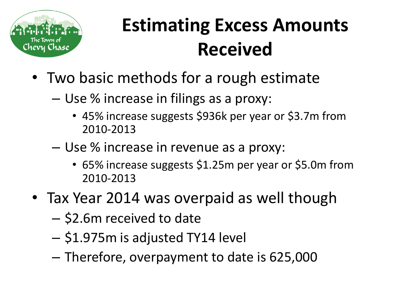

## **Estimating Excess Amounts Received**

- Two basic methods for a rough estimate
	- Use % increase in filings as a proxy:
		- 45% increase suggests \$936k per year or \$3.7m from 2010-2013
	- Use % increase in revenue as a proxy:
		- 65% increase suggests \$1.25m per year or \$5.0m from 2010-2013
- Tax Year 2014 was overpaid as well though
	- \$2.6m received to date
	- \$1.975m is adjusted TY14 level
	- Therefore, overpayment to date is 625,000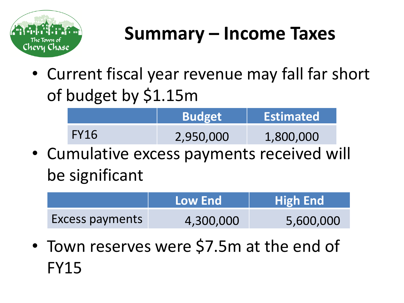

## **Summary – Income Taxes**

• Current fiscal year revenue may fall far short of budget by \$1.15m

|             | <b>Budget</b> | <b>Estimated</b> |
|-------------|---------------|------------------|
| <b>FY16</b> | 2,950,000     | 1,800,000        |

• Cumulative excess payments received will be significant

|                        | Low End   | <b>High End</b> |  |  |
|------------------------|-----------|-----------------|--|--|
| <b>Excess payments</b> | 4,300,000 | 5,600,000       |  |  |

• Town reserves were \$7.5m at the end of FY15